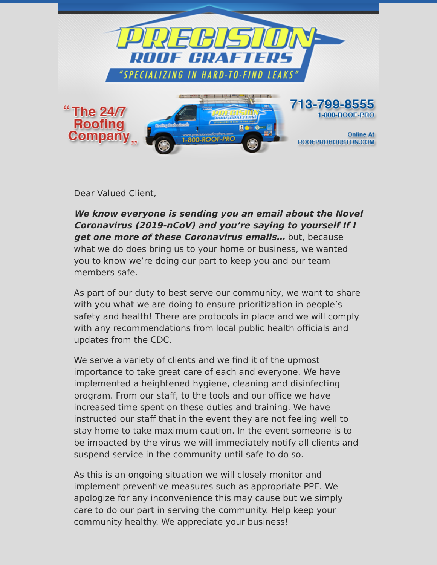

Dear Valued Client,

**We know everyone is sending you an email about the Novel Coronavirus (2019-nCoV) and you're saying to yourself If I get one more of these Coronavirus emails…** but, because what we do does bring us to your home or business, we wanted you to know we're doing our part to keep you and our team members safe.

As part of our duty to best serve our community, we want to share with you what we are doing to ensure prioritization in people's safety and health! There are protocols in place and we will comply with any recommendations from local public health officials and updates from the CDC.

We serve a variety of clients and we find it of the upmost importance to take great care of each and everyone. We have implemented a heightened hygiene, cleaning and disinfecting program. From our staff, to the tools and our office we have increased time spent on these duties and training. We have instructed our staff that in the event they are not feeling well to stay home to take maximum caution. In the event someone is to be impacted by the virus we will immediately notify all clients and suspend service in the community until safe to do so.

As this is an ongoing situation we will closely monitor and implement preventive measures such as appropriate PPE. We apologize for any inconvenience this may cause but we simply care to do our part in serving the community. Help keep your community healthy. We appreciate your business!